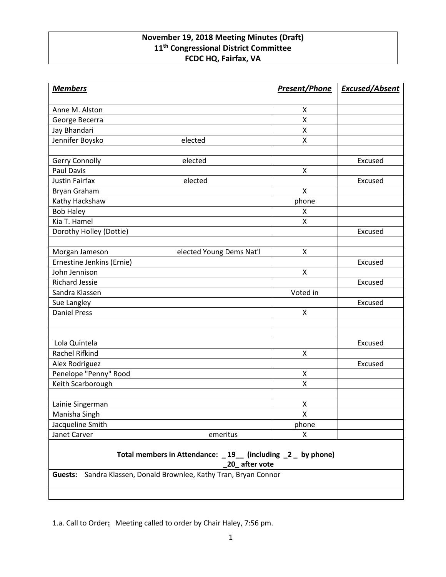## **November 19, 2018 Meeting Minutes (Draft) 11th Congressional District Committee FCDC HQ, Fairfax, VA**

| <b>Members</b>                                                               | <b>Present/Phone</b> | <b>Excused/Absent</b> |
|------------------------------------------------------------------------------|----------------------|-----------------------|
| Anne M. Alston                                                               | X                    |                       |
| George Becerra                                                               | X                    |                       |
| Jay Bhandari                                                                 | X                    |                       |
| Jennifer Boysko<br>elected                                                   | X                    |                       |
|                                                                              |                      |                       |
| Gerry Connolly<br>elected                                                    |                      | Excused               |
| Paul Davis                                                                   | $\pmb{\mathsf{X}}$   |                       |
| Justin Fairfax<br>elected                                                    |                      | Excused               |
| Bryan Graham                                                                 | X                    |                       |
| Kathy Hackshaw                                                               | phone                |                       |
| <b>Bob Haley</b>                                                             | X                    |                       |
| Kia T. Hamel                                                                 | X                    |                       |
| Dorothy Holley (Dottie)                                                      |                      | Excused               |
|                                                                              |                      |                       |
| Morgan Jameson<br>elected Young Dems Nat'l                                   | X                    |                       |
| Ernestine Jenkins (Ernie)                                                    |                      | Excused               |
| John Jennison                                                                | X                    |                       |
| <b>Richard Jessie</b>                                                        |                      | Excused               |
| Sandra Klassen                                                               | Voted in             |                       |
| Sue Langley                                                                  |                      | Excused               |
| <b>Daniel Press</b>                                                          | X                    |                       |
|                                                                              |                      |                       |
|                                                                              |                      |                       |
| Lola Quintela                                                                |                      | Excused               |
| Rachel Rifkind                                                               | X                    |                       |
| Alex Rodriguez                                                               |                      | Excused               |
| Penelope "Penny" Rood                                                        | Χ                    |                       |
| Keith Scarborough                                                            | X                    |                       |
|                                                                              |                      |                       |
| Lainie Singerman                                                             | X                    |                       |
| Manisha Singh                                                                | $\pmb{\mathsf{X}}$   |                       |
| Jacqueline Smith                                                             | phone                |                       |
| Janet Carver<br>emeritus                                                     | X                    |                       |
| Total members in Attendance: _19_ (including _2 _ by phone)<br>20_after vote |                      |                       |

**Guests:** Sandra Klassen, Donald Brownlee, Kathy Tran, Bryan Connor

1.a. Call to Order**:** Meeting called to order by Chair Haley, 7:56 pm.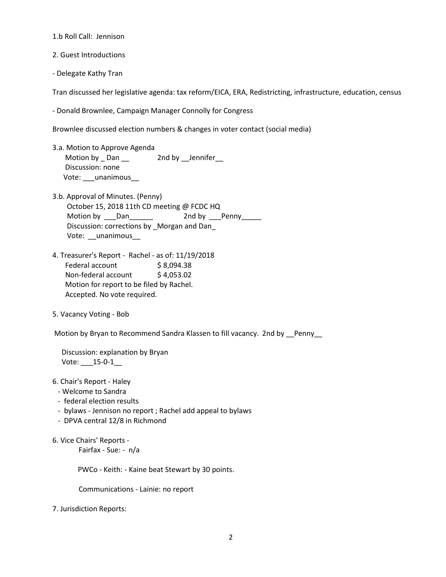1.b Roll Call: Jennison

2. Guest Introductions

- Delegate Kathy Tran

Tran discussed her legislative agenda: tax reform/EICA, ERA, Redistricting, infrastructure, education, census

- Donald Brownlee, Campaign Manager Connolly for Congress

Brownlee discussed election numbers & changes in voter contact (social media)

- 3.a. Motion to Approve Agenda Motion by \_ Dan \_\_ 2nd by \_\_Jennifer\_ Discussion: none Vote: \_\_\_ unanimous
- 3.b. Approval of Minutes. (Penny) October 15, 2018 11th CD meeting @ FCDC HQ Motion by \_\_\_Dan\_\_\_\_\_\_\_ 2nd by \_\_\_Penny\_\_\_\_\_ Discussion: corrections by \_Morgan and Dan\_ Vote: \_\_unanimous\_\_
- 4. Treasurer's Report Rachel as of: 11/19/2018 Federal account \$8,094.38 Non-federal account \$4,053.02 Motion for report to be filed by Rachel. Accepted. No vote required.
- 5. Vacancy Voting Bob

Motion by Bryan to Recommend Sandra Klassen to fill vacancy. 2nd by Penny

 Discussion: explanation by Bryan Vote: \_\_\_15-0-1\_\_

- 6. Chair's Report Haley
	- Welcome to Sandra
	- federal election results
	- bylaws Jennison no report ; Rachel add appeal to bylaws
	- DPVA central 12/8 in Richmond
- 6. Vice Chairs' Reports -

Fairfax - Sue: - n/a

PWCo - Keith: - Kaine beat Stewart by 30 points.

Communications - Lainie: no report

7. Jurisdiction Reports: